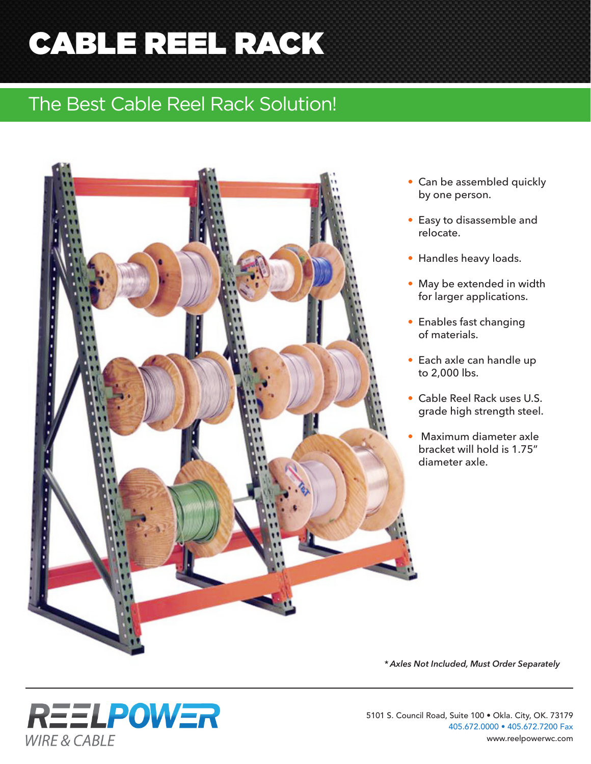# CABLE REEL RACK

## The Best Cable Reel Rack Solution!



- Can be assembled quickly by one person.
- Easy to disassemble and relocate.
- Handles heavy loads.
- May be extended in width for larger applications.
- Enables fast changing of materials.
- Each axle can handle up to 2,000 lbs.
- Cable Reel Rack uses U.S. grade high strength steel.
- Maximum diameter axle bracket will hold is 1.75" diameter axle.

*\* Axles Not Included, Must Order Separately*



5101 S. Council Road, Suite 100 • Okla. City, OK. 73179 405.672.0000 • 405.672.7200 Fax www.reelpowerwc.com